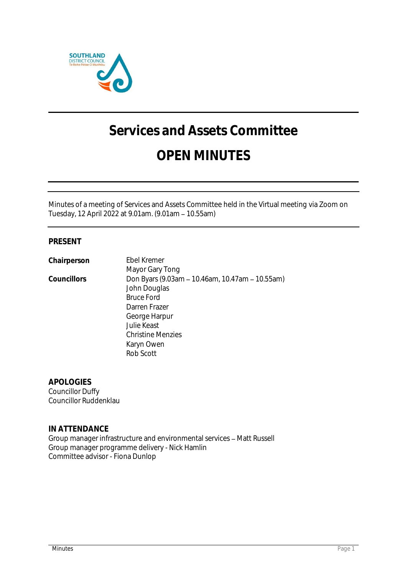

# **Services and Assets Committee**

## **OPEN MINUTES**

Minutes of a meeting of Services and Assets Committee held in the Virtual meeting via Zoom on Tuesday, 12 April 2022 at 9.01am. (9.01am 10.55am)

### **PRESENT**

| Chairperson | Ebel Kremer                                     |
|-------------|-------------------------------------------------|
|             | Mayor Gary Tong                                 |
| Councillors | Don Byars (9.03am - 10.46am, 10.47am - 10.55am) |
|             | John Douglas                                    |
|             | <b>Bruce Ford</b>                               |
|             | Darren Frazer                                   |
|             | George Harpur                                   |
|             | Julie Keast                                     |
|             | <b>Christine Menzies</b>                        |
|             | Karyn Owen                                      |
|             | Rob Scott                                       |
|             |                                                 |

**APOLOGIES** Councillor Duffy Councillor Ruddenklau

**IN ATTENDANCE** Group manager infrastructure and environmental services - Matt Russell Group manager programme delivery - Nick Hamlin Committee advisor - Fiona Dunlop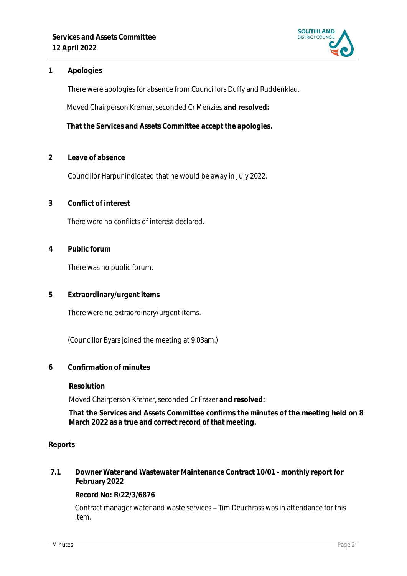

#### **1 Apologies**

There were apologies for absence from Councillors Duffy and Ruddenklau.

Moved Chairperson Kremer, seconded Cr Menzies **and resolved:**

**That the Services and Assets Committee accept the apologies.**

**2 Leave of absence** 

Councillor Harpur indicated that he would be away in July 2022.

**3 Conflict of interest**

There were no conflicts of interest declared.

**4 Public forum**

There was no public forum.

**5 Extraordinary/urgent items**

There were no extraordinary/urgent items.

(Councillor Byars joined the meeting at 9.03am.)

**6 Confirmation of minutes**

**Resolution**

Moved Chairperson Kremer, seconded Cr Frazer **and resolved:**

**That the Services and Assets Committee confirms the minutes of the meeting held on 8 March 2022 as a true and correct record of that meeting.**

#### **Reports**

**7.1 Downer Water and Wastewater Maintenance Contract 10/01 - monthly report for February 2022**

**Record No: R/22/3/6876**

Contract manager water and waste services - Tim Deuchrass was in attendance for this item.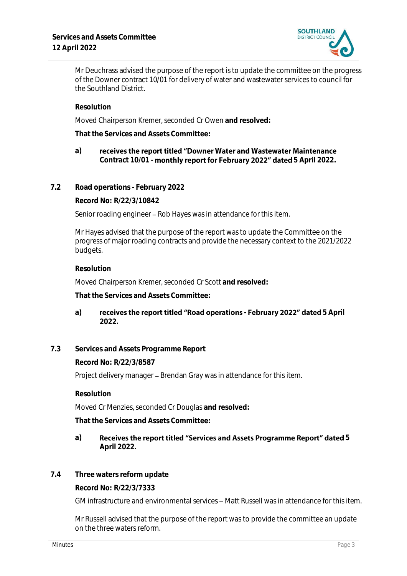

Mr Deuchrass advised the purpose of the report is to update the committee on the progress of the Downer contract 10/01 for delivery of water and wastewater services to council for the Southland District.

**Resolution**

Moved Chairperson Kremer, seconded Cr Owen **and resolved:**

**That the Services and Assets Committee:**

#### **a)** receives the report titled "Downer Water and Wastewater Maintenance Contract 10/01 - **monthly report for February 2022" dated** 5 April 2022.

**7.2 Road operations - February 2022**

**Record No: R/22/3/10842**

Senior roading engineer – Rob Hayes was in attendance for this item.

Mr Hayes advised that the purpose of the report was to update the Committee on the progress of major roading contracts and provide the necessary context to the 2021/2022 budgets.

#### **Resolution**

Moved Chairperson Kremer, seconded Cr Scott **and resolved:**

**That the Services and Assets Committee:**

- a) **receives the report titled "Road operations February 2022" dated 5 April 2022.**
- **7.3 Services and Assets Programme Report**

**Record No: R/22/3/8587**

Project delivery manager - Brendan Gray was in attendance for this item.

**Resolution**

Moved Cr Menzies, seconded Cr Douglas **and resolved:**

**That the Services and Assets Committee:**

#### a) Receives the report titled "Services and Assets Programme Report" dated 5 **April 2022.**

**7.4 Three waters reform update**

**Record No: R/22/3/7333**

GM infrastructure and environmental services – Matt Russell was in attendance for this item.

Mr Russell advised that the purpose of the report was to provide the committee an update on the three waters reform.